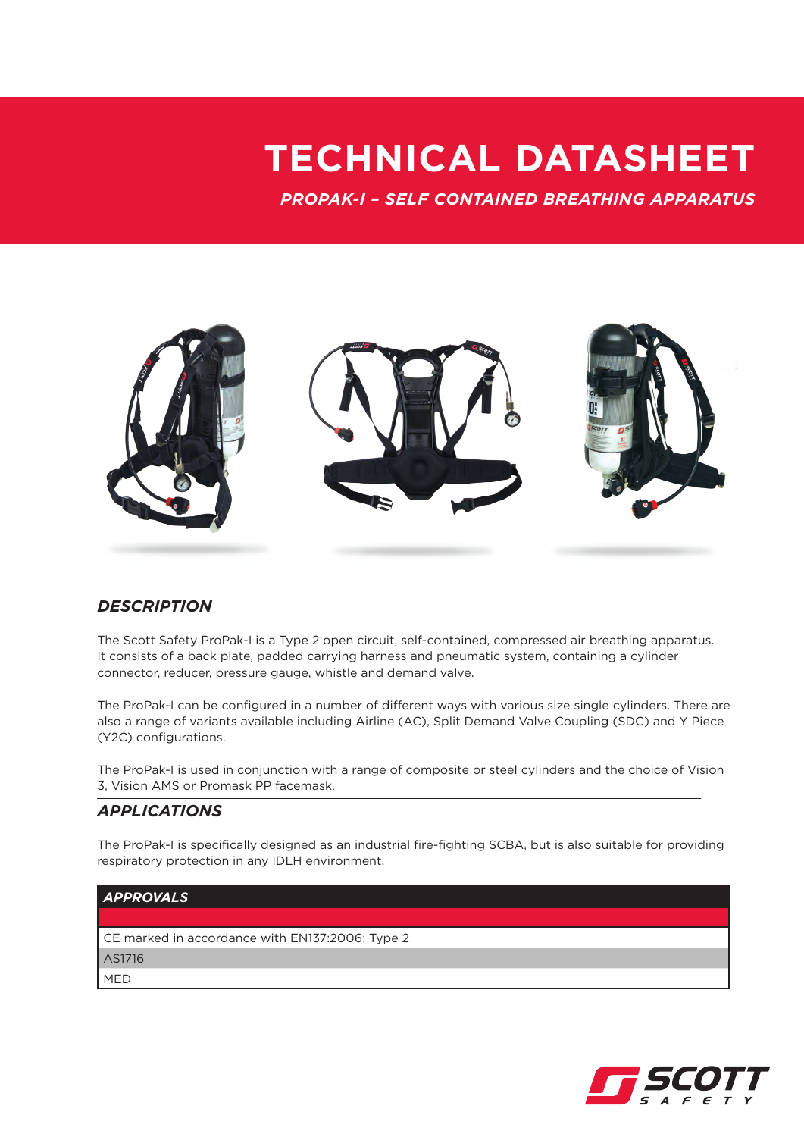## **TECHNICAL DATASHEET**

*PROPAK-I – SELF CONTAINED BREATHING APPARATUS*



## *DESCRIPTION*

The Scott Safety ProPak-I is a Type 2 open circuit, self-contained, compressed air breathing apparatus. It consists of a back plate, padded carrying harness and pneumatic system, containing a cylinder connector, reducer, pressure gauge, whistle and demand valve.

The ProPak-I can be configured in a number of different ways with various size single cylinders. There are also a range of variants available including Airline (AC), Split Demand Valve Coupling (SDC) and Y Piece (Y2C) configurations.

The ProPak-I is used in conjunction with a range of composite or steel cylinders and the choice of Vision 3, Vision AMS or Promask PP facemask.

### *APPLICATIONS*

The ProPak-I is specifically designed as an industrial fire-fighting SCBA, but is also suitable for providing respiratory protection in any IDLH environment.



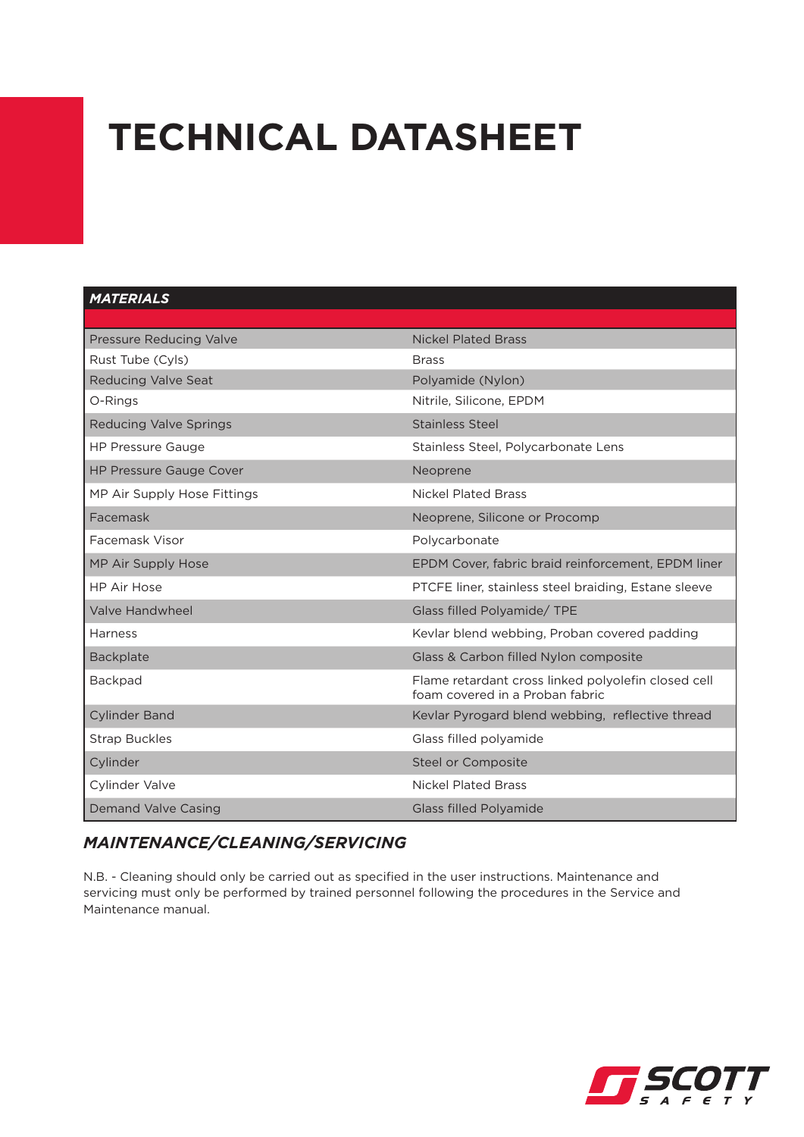# **TECHNICAL DATASHEET**

#### *MATERIALS*

| Pressure Reducing Valve        | <b>Nickel Plated Brass</b>                                                             |
|--------------------------------|----------------------------------------------------------------------------------------|
| Rust Tube (Cyls)               | <b>Brass</b>                                                                           |
| <b>Reducing Valve Seat</b>     | Polyamide (Nylon)                                                                      |
| O-Rings                        | Nitrile, Silicone, EPDM                                                                |
| <b>Reducing Valve Springs</b>  | <b>Stainless Steel</b>                                                                 |
| <b>HP Pressure Gauge</b>       | Stainless Steel, Polycarbonate Lens                                                    |
| <b>HP Pressure Gauge Cover</b> | Neoprene                                                                               |
| MP Air Supply Hose Fittings    | <b>Nickel Plated Brass</b>                                                             |
| Facemask                       | Neoprene, Silicone or Procomp                                                          |
| Facemask Visor                 | Polycarbonate                                                                          |
| MP Air Supply Hose             | EPDM Cover, fabric braid reinforcement, EPDM liner                                     |
| <b>HP Air Hose</b>             | PTCFE liner, stainless steel braiding, Estane sleeve                                   |
| Valve Handwheel                | Glass filled Polyamide/ TPE                                                            |
| Harness                        | Kevlar blend webbing, Proban covered padding                                           |
| <b>Backplate</b>               | Glass & Carbon filled Nylon composite                                                  |
| <b>Backpad</b>                 | Flame retardant cross linked polyolefin closed cell<br>foam covered in a Proban fabric |
| <b>Cylinder Band</b>           | Kevlar Pyrogard blend webbing, reflective thread                                       |
| <b>Strap Buckles</b>           | Glass filled polyamide                                                                 |
| Cylinder                       | Steel or Composite                                                                     |
| <b>Cylinder Valve</b>          | <b>Nickel Plated Brass</b>                                                             |
| <b>Demand Valve Casing</b>     | <b>Glass filled Polyamide</b>                                                          |

## *MAINTENANCE/CLEANING/SERVICING*

N.B. - Cleaning should only be carried out as specified in the user instructions. Maintenance and servicing must only be performed by trained personnel following the procedures in the Service and Maintenance manual.